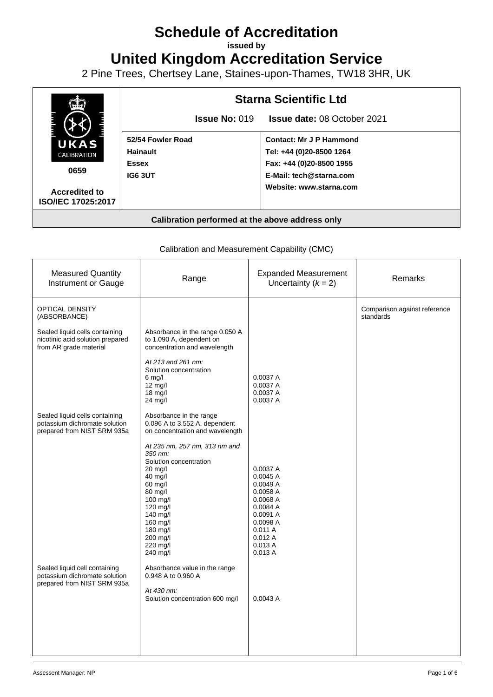# **Schedule of Accreditation**

**issued by**

**United Kingdom Accreditation Service**

2 Pine Trees, Chertsey Lane, Staines-upon-Thames, TW18 3HR, UK



# Calibration and Measurement Capability (CMC)

| <b>Measured Quantity</b><br><b>Instrument or Gauge</b>                                         | Range                                                                                                                                                                                                                | <b>Expanded Measurement</b><br>Uncertainty $(k = 2)$                                                                               | Remarks                                   |
|------------------------------------------------------------------------------------------------|----------------------------------------------------------------------------------------------------------------------------------------------------------------------------------------------------------------------|------------------------------------------------------------------------------------------------------------------------------------|-------------------------------------------|
| <b>OPTICAL DENSITY</b><br>(ABSORBANCE)                                                         |                                                                                                                                                                                                                      |                                                                                                                                    | Comparison against reference<br>standards |
| Sealed liquid cells containing<br>nicotinic acid solution prepared<br>from AR grade material   | Absorbance in the range 0.050 A<br>to 1.090 A, dependent on<br>concentration and wavelength                                                                                                                          |                                                                                                                                    |                                           |
|                                                                                                | At 213 and 261 nm:<br>Solution concentration<br>$6 \text{ mq/l}$<br>12 mg/l<br>18 mg/l<br>$24$ mg/l                                                                                                                  | 0.0037 A<br>0.0037 A<br>0.0037 A<br>0.0037 A                                                                                       |                                           |
| Sealed liquid cells containing<br>potassium dichromate solution<br>prepared from NIST SRM 935a | Absorbance in the range<br>0.096 A to 3.552 A, dependent<br>on concentration and wavelength                                                                                                                          |                                                                                                                                    |                                           |
|                                                                                                | At 235 nm, 257 nm, 313 nm and<br>350 nm:<br>Solution concentration<br>$20$ mg/l<br>$40$ mg/l<br>$60$ mg/l<br>80 mg/l<br>100 mg/l<br>120 mg/l<br>140 mg/l<br>160 mg/l<br>180 mg/l<br>200 mg/l<br>220 mg/l<br>240 mg/l | 0.0037 A<br>0.0045A<br>0.0049A<br>0.0058 A<br>0.0068 A<br>0.0084 A<br>0.0091 A<br>0.0098 A<br>0.011A<br>0.012A<br>0.013A<br>0.013A |                                           |
| Sealed liquid cell containing<br>potassium dichromate solution<br>prepared from NIST SRM 935a  | Absorbance value in the range<br>0.948 A to 0.960 A<br>At 430 nm:<br>Solution concentration 600 mg/l                                                                                                                 | 0.0043A                                                                                                                            |                                           |
|                                                                                                |                                                                                                                                                                                                                      |                                                                                                                                    |                                           |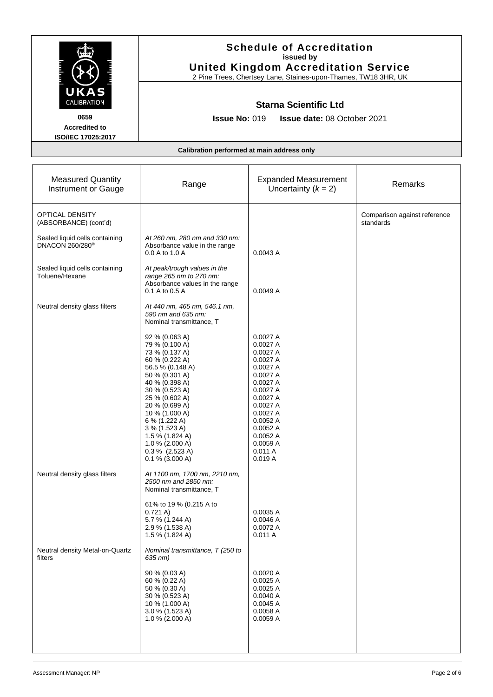|                                                                                  | <b>Schedule of Accreditation</b><br>issued by<br><b>United Kingdom Accreditation Service</b>                                                                                                                                                                                                                                                                                                             |                                                                                                                                                                                                   |                                           |
|----------------------------------------------------------------------------------|----------------------------------------------------------------------------------------------------------------------------------------------------------------------------------------------------------------------------------------------------------------------------------------------------------------------------------------------------------------------------------------------------------|---------------------------------------------------------------------------------------------------------------------------------------------------------------------------------------------------|-------------------------------------------|
| UKAS<br><b>CALIBRATION</b><br>0659<br><b>Accredited to</b><br>ISO/IEC 17025:2017 | 2 Pine Trees, Chertsey Lane, Staines-upon-Thames, TW18 3HR, UK<br><b>Starna Scientific Ltd</b><br><b>Issue No: 019</b><br>Issue date: 08 October 2021                                                                                                                                                                                                                                                    |                                                                                                                                                                                                   |                                           |
|                                                                                  | Calibration performed at main address only                                                                                                                                                                                                                                                                                                                                                               |                                                                                                                                                                                                   |                                           |
| <b>Measured Quantity</b><br>Instrument or Gauge                                  | Range                                                                                                                                                                                                                                                                                                                                                                                                    | <b>Expanded Measurement</b><br>Uncertainty $(k = 2)$                                                                                                                                              | Remarks                                   |
| <b>OPTICAL DENSITY</b><br>(ABSORBANCE) (cont'd)                                  |                                                                                                                                                                                                                                                                                                                                                                                                          |                                                                                                                                                                                                   | Comparison against reference<br>standards |
| Sealed liquid cells containing<br>DNACON 260/280 <sup>®</sup>                    | At 260 nm, 280 nm and 330 nm:<br>Absorbance value in the range<br>0.0 A to 1.0 A                                                                                                                                                                                                                                                                                                                         | 0.0043 A                                                                                                                                                                                          |                                           |
| Sealed liquid cells containing<br>Toluene/Hexane                                 | At peak/trough values in the<br>range 265 nm to 270 nm:<br>Absorbance values in the range<br>0.1 A to 0.5 A                                                                                                                                                                                                                                                                                              | 0.0049A                                                                                                                                                                                           |                                           |
| Neutral density glass filters                                                    | At 440 nm, 465 nm, 546.1 nm,<br>590 nm and 635 nm:<br>Nominal transmittance, T<br>92 % (0.063 A)<br>79 % (0.100 A)<br>73 % (0.137 A)<br>60 % (0.222 A)<br>56.5 % (0.148 A)<br>50 % (0.301 A)<br>40 % (0.398 A)<br>30 % (0.523 A)<br>25 % (0.602 A)<br>20 % (0.699 A)<br>10 % (1.000 A)<br>6 % (1.222 A)<br>3 % (1.523 A)<br>1.5 % (1.824 A)<br>1.0 % (2.000 A)<br>$0.3\%$ (2.523 A)<br>$0.1\%$ (3.000 A) | 0.0027A<br>0.0027 A<br>0.0027 A<br>0.0027 A<br>0.0027 A<br>0.0027 A<br>0.0027A<br>0.0027 A<br>0.0027 A<br>0.0027 A<br>0.0027 A<br>0.0052 A<br>0.0052 A<br>0.0052A<br>0.0059 A<br>0.011A<br>0.019A |                                           |
| Neutral density glass filters                                                    | At 1100 nm, 1700 nm, 2210 nm,<br>2500 nm and 2850 nm:<br>Nominal transmittance, T<br>61% to 19 % (0.215 A to<br>0.721 A)<br>5.7 % (1.244 A)<br>2.9 % (1.538 A)<br>1.5 % (1.824 A)                                                                                                                                                                                                                        | 0.0035 A<br>0.0046A<br>0.0072 A<br>0.011A                                                                                                                                                         |                                           |
| Neutral density Metal-on-Quartz<br>filters                                       | Nominal transmittance, T (250 to<br>635 nm)<br>90 % (0.03 A)<br>60 % (0.22 A)<br>50 % (0.30 A)<br>30 % (0.523 A)<br>10 % (1.000 A)<br>3.0 % (1.523 A)<br>1.0 % (2.000 A)                                                                                                                                                                                                                                 | 0.0020A<br>0.0025 A<br>0.0025A<br>0.0040A<br>0.0045A<br>0.0058A<br>0.0059 A                                                                                                                       |                                           |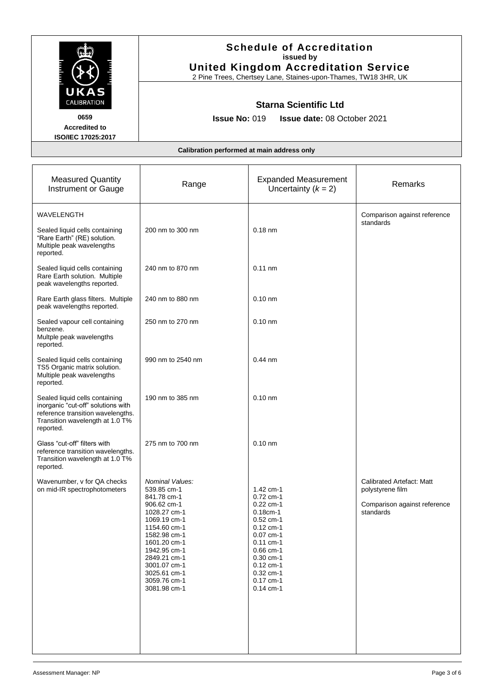|                                                                                                                                                           | <b>Schedule of Accreditation</b><br>issued by<br><b>United Kingdom Accreditation Service</b><br>2 Pine Trees, Chertsey Lane, Staines-upon-Thames, TW18 3HR, UK<br><b>Starna Scientific Ltd</b><br><b>Issue No: 019</b><br>Issue date: 08 October 2021 |                                                                                                                                                                                                             |                                                                                            |
|-----------------------------------------------------------------------------------------------------------------------------------------------------------|-------------------------------------------------------------------------------------------------------------------------------------------------------------------------------------------------------------------------------------------------------|-------------------------------------------------------------------------------------------------------------------------------------------------------------------------------------------------------------|--------------------------------------------------------------------------------------------|
| UKAS<br><b>CALIBRATION</b><br>0659<br><b>Accredited to</b><br>ISO/IEC 17025:2017                                                                          |                                                                                                                                                                                                                                                       |                                                                                                                                                                                                             |                                                                                            |
|                                                                                                                                                           | Calibration performed at main address only                                                                                                                                                                                                            |                                                                                                                                                                                                             |                                                                                            |
| <b>Measured Quantity</b><br>Instrument or Gauge                                                                                                           | Range                                                                                                                                                                                                                                                 | <b>Expanded Measurement</b><br>Uncertainty $(k = 2)$                                                                                                                                                        | Remarks                                                                                    |
| <b>WAVELENGTH</b><br>Sealed liquid cells containing<br>"Rare Earth" (RE) solution.<br>Multiple peak wavelengths<br>reported.                              | 200 nm to 300 nm                                                                                                                                                                                                                                      | $0.18$ nm                                                                                                                                                                                                   | Comparison against reference<br>standards                                                  |
| Sealed liquid cells containing<br>Rare Earth solution. Multiple<br>peak wavelengths reported.                                                             | 240 nm to 870 nm                                                                                                                                                                                                                                      | $0.11$ nm                                                                                                                                                                                                   |                                                                                            |
| Rare Earth glass filters. Multiple<br>peak wavelengths reported.                                                                                          | 240 nm to 880 nm                                                                                                                                                                                                                                      | $0.10$ nm                                                                                                                                                                                                   |                                                                                            |
| Sealed vapour cell containing<br>benzene.<br>Multple peak wavelengths<br>reported.                                                                        | 250 nm to 270 nm                                                                                                                                                                                                                                      | $0.10$ nm                                                                                                                                                                                                   |                                                                                            |
| Sealed liquid cells containing<br>TS5 Organic matrix solution.<br>Multiple peak wavelengths<br>reported.                                                  | 990 nm to 2540 nm                                                                                                                                                                                                                                     | $0.44$ nm                                                                                                                                                                                                   |                                                                                            |
| Sealed liquid cells containing<br>inorganic "cut-off" solutions with<br>reference transition wavelengths.<br>Transition wavelength at 1.0 T%<br>reported. | 190 nm to 385 nm                                                                                                                                                                                                                                      | $0.10$ nm                                                                                                                                                                                                   |                                                                                            |
| Glass "cut-off" filters with<br>reference transition wavelengths.<br>Transition wavelength at 1.0 T%<br>reported.                                         | 275 nm to 700 nm                                                                                                                                                                                                                                      | $0.10$ nm                                                                                                                                                                                                   |                                                                                            |
| Wavenumber, v for QA checks<br>on mid-IR spectrophotometers                                                                                               | Nominal Values:<br>539.85 cm-1<br>841.78 cm-1<br>906.62 cm-1<br>1028.27 cm-1<br>1069.19 cm-1<br>1154.60 cm-1<br>1582.98 cm-1<br>1601.20 cm-1<br>1942.95 cm-1<br>2849.21 cm-1<br>3001.07 cm-1<br>3025.61 cm-1<br>3059.76 cm-1<br>3081.98 cm-1          | 1.42 cm-1<br>$0.72$ cm-1<br>$0.22$ cm-1<br>$0.18cm-1$<br>$0.52$ cm-1<br>$0.12$ cm-1<br>$0.07$ cm-1<br>$0.11$ cm-1<br>$0.66$ cm-1<br>$0.30$ cm-1<br>$0.12$ cm-1<br>$0.32$ cm-1<br>$0.17$ cm-1<br>$0.14$ cm-1 | Calibrated Artefact: Matt<br>polystyrene film<br>Comparison against reference<br>standards |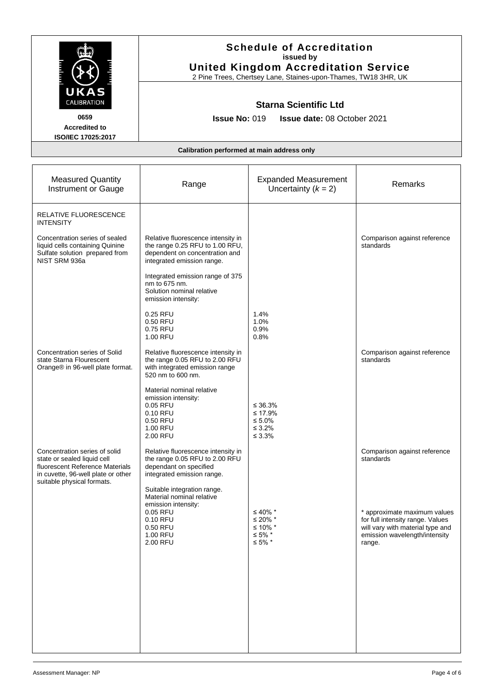|                                                                                                                                       | <b>Schedule of Accreditation</b><br>issued by<br><b>United Kingdom Accreditation Service</b>                                                                 |                                                                    |                                                                                                                                                 |
|---------------------------------------------------------------------------------------------------------------------------------------|--------------------------------------------------------------------------------------------------------------------------------------------------------------|--------------------------------------------------------------------|-------------------------------------------------------------------------------------------------------------------------------------------------|
| UKAS<br>CALIBRATION<br>0659<br><b>Accredited to</b><br>ISO/IEC 17025:2017                                                             | 2 Pine Trees, Chertsey Lane, Staines-upon-Thames, TW18 3HR, UK<br><b>Starna Scientific Ltd</b><br><b>Issue No: 019</b><br><b>Issue date: 08 October 2021</b> |                                                                    |                                                                                                                                                 |
|                                                                                                                                       | Calibration performed at main address only                                                                                                                   |                                                                    |                                                                                                                                                 |
| <b>Measured Quantity</b><br>Instrument or Gauge                                                                                       | Range                                                                                                                                                        | <b>Expanded Measurement</b><br>Uncertainty $(k = 2)$               | Remarks                                                                                                                                         |
| <b>RELATIVE FLUORESCENCE</b><br><b>INTENSITY</b>                                                                                      |                                                                                                                                                              |                                                                    |                                                                                                                                                 |
| Concentration series of sealed<br>liquid cells containing Quinine<br>Sulfate solution prepared from<br>NIST SRM 936a                  | Relative fluorescence intensity in<br>the range 0.25 RFU to 1.00 RFU,<br>dependent on concentration and<br>integrated emission range.                        |                                                                    | Comparison against reference<br>standards                                                                                                       |
|                                                                                                                                       | Integrated emission range of 375<br>nm to 675 nm.<br>Solution nominal relative<br>emission intensity:<br>0.25 RFU<br>0.50 RFU<br>0.75 RFU                    | 1.4%<br>1.0%<br>0.9%                                               |                                                                                                                                                 |
| Concentration series of Solid<br>state Starna Flourescent<br>Orange® in 96-well plate format.                                         | 1.00 RFU<br>Relative fluorescence intensity in<br>the range 0.05 RFU to 2.00 RFU<br>with integrated emission range<br>520 nm to 600 nm.                      | 0.8%                                                               | Comparison against reference<br>standards                                                                                                       |
|                                                                                                                                       | Material nominal relative<br>emission intensity:<br>0.05 RFU<br>0.10 RFU<br>0.50 RFU<br>1.00 RFU<br>2.00 RFU                                                 | ≤ 36.3%<br>≤ 17.9%<br>$\leq 5.0\%$<br>$\leq 3.2\%$<br>$\leq 3.3\%$ |                                                                                                                                                 |
| Concentration series of solid<br>state or sealed liquid cell<br>fluorescent Reference Materials<br>in cuvette, 96-well plate or other | Relative fluorescence intensity in<br>the range 0.05 RFU to 2.00 RFU<br>dependant on specified<br>integrated emission range.                                 |                                                                    | Comparison against reference<br>standards                                                                                                       |
| suitable physical formats.                                                                                                            | Suitable integration range.<br>Material nominal relative<br>emission intensity:<br>0.05 RFU<br>0.10 RFU<br>0.50 RFU<br>1.00 RFU<br>2.00 RFU                  | ≤ 40% *<br>≤ 20% $*$<br>≤ 10% $*$<br>$≤ 5\%$ *<br>$≤ 5\%$ *        | * approximate maximum values<br>for full intensity range. Values<br>will vary with material type and<br>emission wavelength/intensity<br>range. |
|                                                                                                                                       |                                                                                                                                                              |                                                                    |                                                                                                                                                 |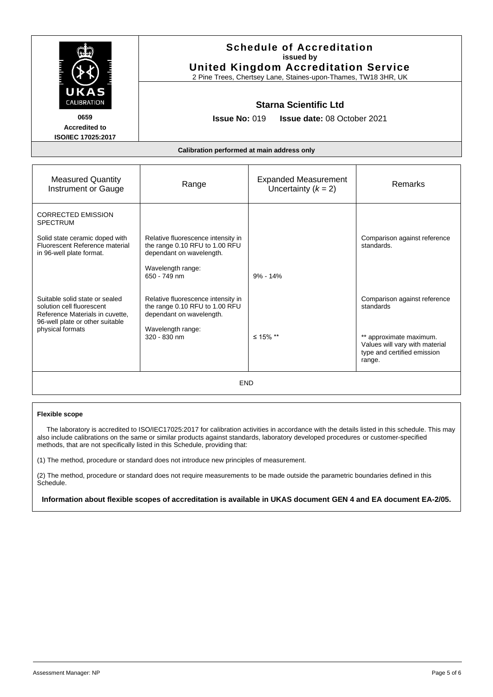| UKAS<br><b>CALIBRATION</b>                                                                                                                            | <b>Schedule of Accreditation</b><br>issued by<br><b>United Kingdom Accreditation Service</b><br>2 Pine Trees, Chertsey Lane, Staines-upon-Thames, TW18 3HR, UK<br><b>Starna Scientific Ltd</b><br><b>Issue No: 019</b><br><b>Issue date: 08 October 2021</b> |                                                      |                                                                                                                                                 |
|-------------------------------------------------------------------------------------------------------------------------------------------------------|--------------------------------------------------------------------------------------------------------------------------------------------------------------------------------------------------------------------------------------------------------------|------------------------------------------------------|-------------------------------------------------------------------------------------------------------------------------------------------------|
| 0659<br><b>Accredited to</b><br>ISO/IEC 17025:2017                                                                                                    |                                                                                                                                                                                                                                                              |                                                      |                                                                                                                                                 |
| Calibration performed at main address only                                                                                                            |                                                                                                                                                                                                                                                              |                                                      |                                                                                                                                                 |
| <b>Measured Quantity</b><br>Instrument or Gauge                                                                                                       | Range                                                                                                                                                                                                                                                        | <b>Expanded Measurement</b><br>Uncertainty $(k = 2)$ | <b>Remarks</b>                                                                                                                                  |
| <b>CORRECTED EMISSION</b><br><b>SPECTRUM</b><br>Solid state ceramic doped with<br>Fluorescent Reference material<br>in 96-well plate format.          | Relative fluorescence intensity in<br>the range 0.10 RFU to 1.00 RFU<br>dependant on wavelength.<br>Wavelength range:<br>650 - 749 nm                                                                                                                        | $9\% - 14\%$                                         | Comparison against reference<br>standards.                                                                                                      |
| Suitable solid state or sealed<br>solution cell fluorescent<br>Reference Materials in cuvette.<br>96-well plate or other suitable<br>physical formats | Relative fluorescence intensity in<br>the range 0.10 RFU to 1.00 RFU<br>dependant on wavelength.<br>Wavelength range:<br>320 - 830 nm                                                                                                                        | ≤ 15% **                                             | Comparison against reference<br>standards<br>** approximate maximum.<br>Values will vary with material<br>type and certified emission<br>range. |
| END                                                                                                                                                   |                                                                                                                                                                                                                                                              |                                                      |                                                                                                                                                 |

#### **Flexible scope**

 The laboratory is accredited to ISO/IEC17025:2017 for calibration activities in accordance with the details listed in this schedule. This may also include calibrations on the same or similar products against standards, laboratory developed procedures or customer-specified methods, that are not specifically listed in this Schedule, providing that:

(1) The method, procedure or standard does not introduce new principles of measurement.

(2) The method, procedure or standard does not require measurements to be made outside the parametric boundaries defined in this Schedule.

**Information about flexible scopes of accreditation is available in UKAS document GEN 4 and EA document EA-2/05.**